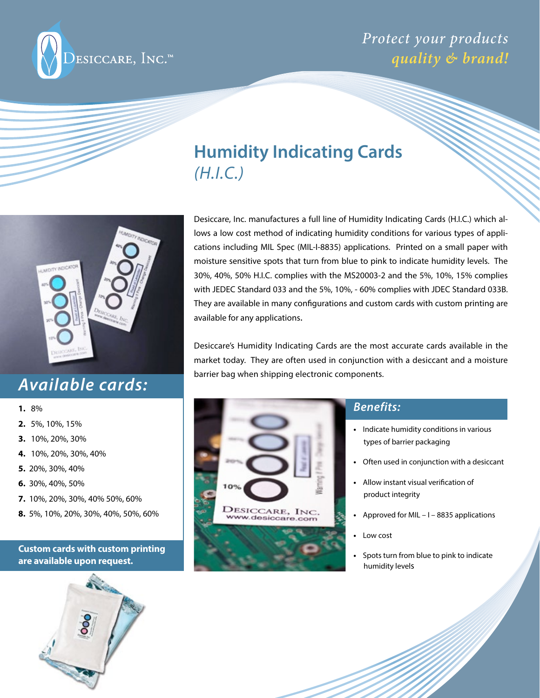

# **Humidity Indicating Cards**  *(H.I.C.)*



## *Available cards:*

- **1.** 8%
- **2.** 5%, 10%, 15%
- **3.** 10%, 20%, 30%
- **4.** 10%, 20%, 30%, 40%
- **5.** 20%, 30%, 40%
- **6.** 30%, 40%, 50%
- **7.** 10%, 20%, 30%, 40% 50%, 60%
- **8.** 5%, 10%, 20%, 30%, 40%, 50%, 60%

### **Custom cards with custom printing are available upon request.**



Desiccare, Inc. manufactures a full line of Humidity Indicating Cards (H.I.C.) which allows a low cost method of indicating humidity conditions for various types of applications including MIL Spec (MIL-I-8835) applications. Printed on a small paper with moisture sensitive spots that turn from blue to pink to indicate humidity levels. The 30%, 40%, 50% H.I.C. complies with the MS20003-2 and the 5%, 10%, 15% complies with JEDEC Standard 033 and the 5%, 10%, - 60% complies with JDEC Standard 033B. They are available in many configurations and custom cards with custom printing are available for any applications.

Desiccare's Humidity Indicating Cards are the most accurate cards available in the market today. They are often used in conjunction with a desiccant and a moisture barrier bag when shipping electronic components.





### *Benefits:*

- Indicate humidity conditions in various types of barrier packaging
- Often used in conjunction with a desiccant
- **•** Allow instant visual verification of product integrity
- **•** Approved for MIL I 8835 applications
- **•** Low cost
- **•** Spots turn from blue to pink to indicate humidity levels